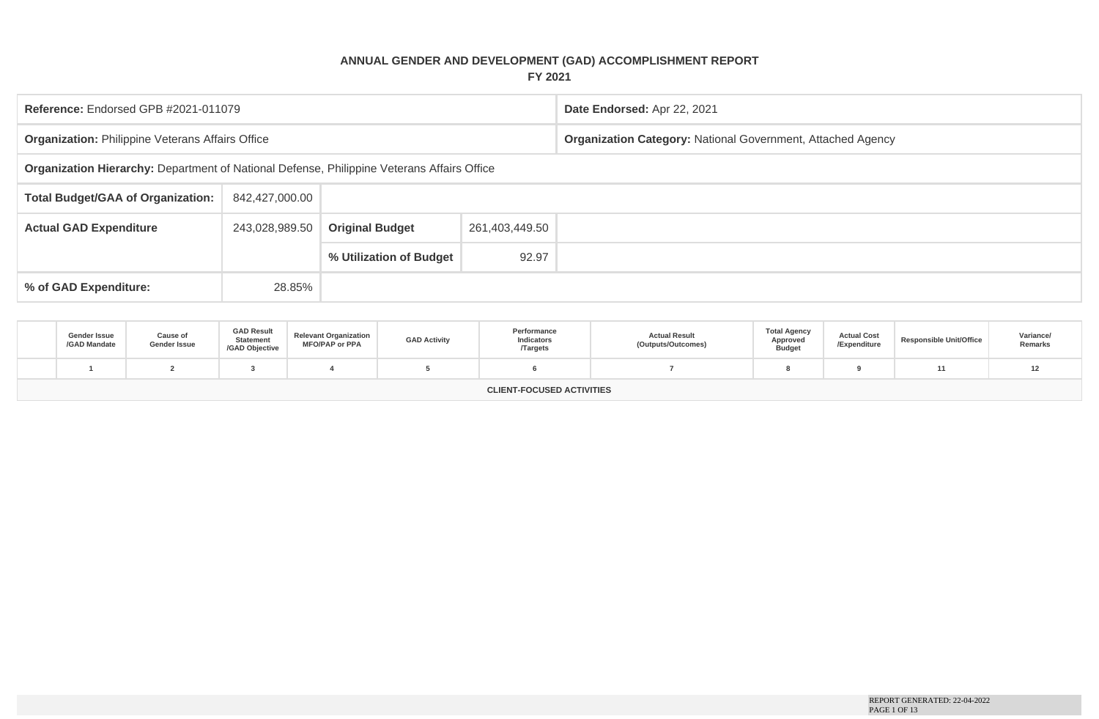## **ANNUAL GENDER AND DEVELOPMENT (GAD) ACCOMPLISHMENT REPORT FY 2021**

| Reference: Endorsed GPB #2021-011079                                                       |                |                         |                | Date Endorsed: Apr 22, 2021                                        |
|--------------------------------------------------------------------------------------------|----------------|-------------------------|----------------|--------------------------------------------------------------------|
| <b>Organization: Philippine Veterans Affairs Office</b>                                    |                |                         |                | <b>Organization Category: National Government, Attached Agency</b> |
| Organization Hierarchy: Department of National Defense, Philippine Veterans Affairs Office |                |                         |                |                                                                    |
| <b>Total Budget/GAA of Organization:</b>                                                   | 842,427,000.00 |                         |                |                                                                    |
| <b>Actual GAD Expenditure</b>                                                              | 243,028,989.50 | <b>Original Budget</b>  | 261,403,449.50 |                                                                    |
|                                                                                            |                | % Utilization of Budget | 92.97          |                                                                    |
| % of GAD Expenditure:                                                                      | 28.85%         |                         |                |                                                                    |

| Gender Issue<br>/GAD Mandate     | Cause of<br>Gender Issue | <b>GAD Result</b><br><b>Statement</b><br>/GAD Objective | <b>Relevant Organization</b><br><b>MFO/PAP or PPA</b> | <b>GAD Activity</b> | Performance<br>Indicators<br><b>Targets</b> | <b>Actual Result</b><br>(Outputs/Outcomes) | <b>Total Agency</b><br>Approved<br><b>Budget</b> | <b>Actual Cost</b><br>/Expenditure | <b>Responsible Unit/Office</b> | Variance/<br>Remarks |
|----------------------------------|--------------------------|---------------------------------------------------------|-------------------------------------------------------|---------------------|---------------------------------------------|--------------------------------------------|--------------------------------------------------|------------------------------------|--------------------------------|----------------------|
|                                  |                          |                                                         |                                                       |                     |                                             |                                            |                                                  |                                    |                                | 12                   |
| <b>CLIENT-FOCUSED ACTIVITIES</b> |                          |                                                         |                                                       |                     |                                             |                                            |                                                  |                                    |                                |                      |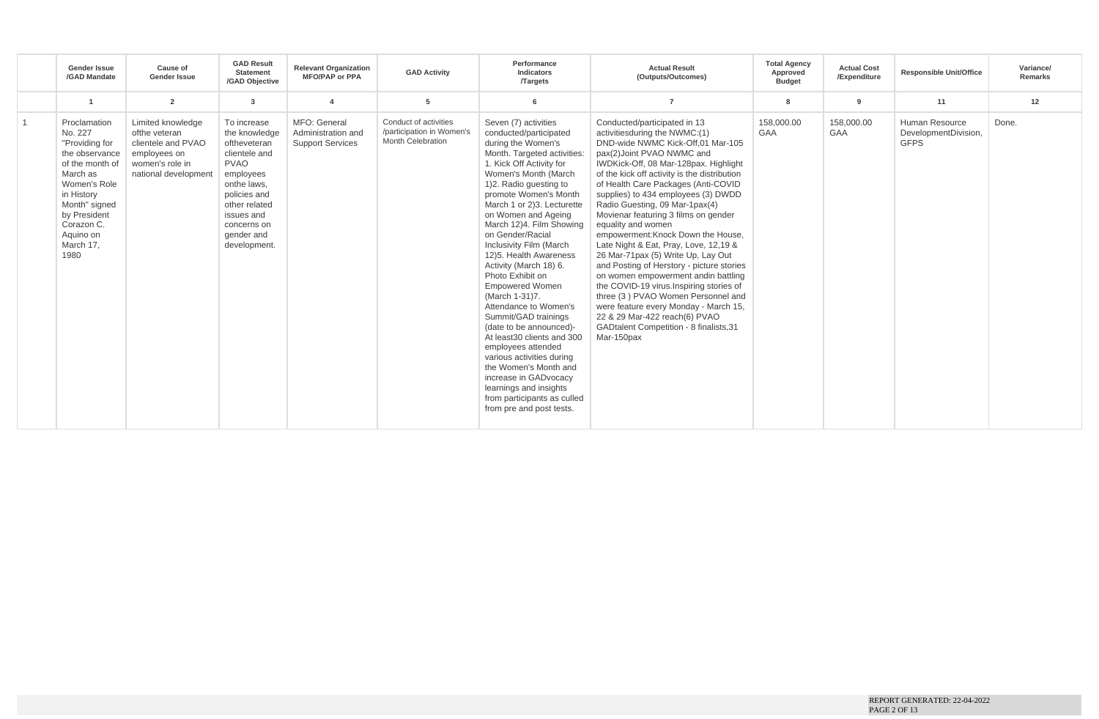|                | <b>Gender Issue</b><br>/GAD Mandate                                                                                                                                                                       | Cause of<br><b>Gender Issue</b>                                                                                     | <b>GAD Result</b><br><b>Statement</b><br>/GAD Objective                                                                                                                                              | <b>Relevant Organization</b><br><b>MFO/PAP or PPA</b>         | <b>GAD Activity</b>                                                     | Performance<br>Indicators<br><b>Targets</b>                                                                                                                                                                                                                                                                                                                                                                                                                                                                                                                                                                                                                                                                                                                        | <b>Actual Result</b><br>(Outputs/Outcomes)                                                                                                                                                                                                                                                                                                                                                                                                                                                                                                                                                                                                                                                                                                                                                                                                    | <b>Total Agency</b><br>Approved<br><b>Budget</b> | <b>Actual Cost</b><br>/Expenditure | <b>Responsible Unit/Office</b>                        | Variance/<br>Remarks |
|----------------|-----------------------------------------------------------------------------------------------------------------------------------------------------------------------------------------------------------|---------------------------------------------------------------------------------------------------------------------|------------------------------------------------------------------------------------------------------------------------------------------------------------------------------------------------------|---------------------------------------------------------------|-------------------------------------------------------------------------|--------------------------------------------------------------------------------------------------------------------------------------------------------------------------------------------------------------------------------------------------------------------------------------------------------------------------------------------------------------------------------------------------------------------------------------------------------------------------------------------------------------------------------------------------------------------------------------------------------------------------------------------------------------------------------------------------------------------------------------------------------------------|-----------------------------------------------------------------------------------------------------------------------------------------------------------------------------------------------------------------------------------------------------------------------------------------------------------------------------------------------------------------------------------------------------------------------------------------------------------------------------------------------------------------------------------------------------------------------------------------------------------------------------------------------------------------------------------------------------------------------------------------------------------------------------------------------------------------------------------------------|--------------------------------------------------|------------------------------------|-------------------------------------------------------|----------------------|
|                |                                                                                                                                                                                                           | $\overline{2}$                                                                                                      | $\overline{\mathbf{3}}$                                                                                                                                                                              |                                                               | 5                                                                       |                                                                                                                                                                                                                                                                                                                                                                                                                                                                                                                                                                                                                                                                                                                                                                    | $\overline{7}$                                                                                                                                                                                                                                                                                                                                                                                                                                                                                                                                                                                                                                                                                                                                                                                                                                |                                                  | $\mathbf{q}$                       | 11                                                    | 12                   |
| $\overline{1}$ | Proclamation<br>No. 227<br>"Providing for<br>the observance<br>of the month of<br>March as<br>Women's Role<br>in History<br>Month" signed<br>by President<br>Corazon C.<br>Aquino on<br>March 17,<br>1980 | Limited knowledge<br>ofthe veteran<br>clientele and PVAO<br>employees on<br>women's role in<br>national development | To increase<br>the knowledge<br>oftheveteran<br>clientele and<br><b>PVAO</b><br>employees<br>onthe laws,<br>policies and<br>other related<br>issues and<br>concerns on<br>gender and<br>development. | MFO: General<br>Administration and<br><b>Support Services</b> | Conduct of activities<br>/participation in Women's<br>Month Celebration | Seven (7) activities<br>conducted/participated<br>during the Women's<br>Month. Targeted activities:<br>1. Kick Off Activity for<br>Women's Month (March<br>1)2. Radio questing to<br>promote Women's Month<br>March 1 or 2)3. Lecturette<br>on Women and Ageing<br>March 12)4. Film Showing<br>on Gender/Racial<br>Inclusivity Film (March<br>12)5. Health Awareness<br>Activity (March 18) 6.<br>Photo Exhibit on<br><b>Empowered Women</b><br>(March 1-31)7.<br>Attendance to Women's<br>Summit/GAD trainings<br>(date to be announced)-<br>At least30 clients and 300<br>employees attended<br>various activities during<br>the Women's Month and<br>increase in GADvocacy<br>learnings and insights<br>from participants as culled<br>from pre and post tests. | Conducted/participated in 13<br>activities during the NWMC: (1)<br>DND-wide NWMC Kick-Off,01 Mar-105<br>pax(2)Joint PVAO NWMC and<br>IWDKick-Off, 08 Mar-128pax. Highlight<br>of the kick off activity is the distribution<br>of Health Care Packages (Anti-COVID<br>supplies) to 434 employees (3) DWDD<br>Radio Guesting, 09 Mar-1pax(4)<br>Movienar featuring 3 films on gender<br>equality and women<br>empowerment: Knock Down the House,<br>Late Night & Eat, Pray, Love, 12,19 &<br>26 Mar-71pax (5) Write Up, Lay Out<br>and Posting of Herstory - picture stories<br>on women empowerment andin battling<br>the COVID-19 virus. Inspiring stories of<br>three (3) PVAO Women Personnel and<br>were feature every Monday - March 15,<br>22 & 29 Mar-422 reach(6) PVAO<br><b>GADtalent Competition - 8 finalists, 31</b><br>Mar-150pax | 158.000.00<br>GAA                                | 158,000.00<br>GAA                  | Human Resource<br>DevelopmentDivision,<br><b>GFPS</b> | Done.                |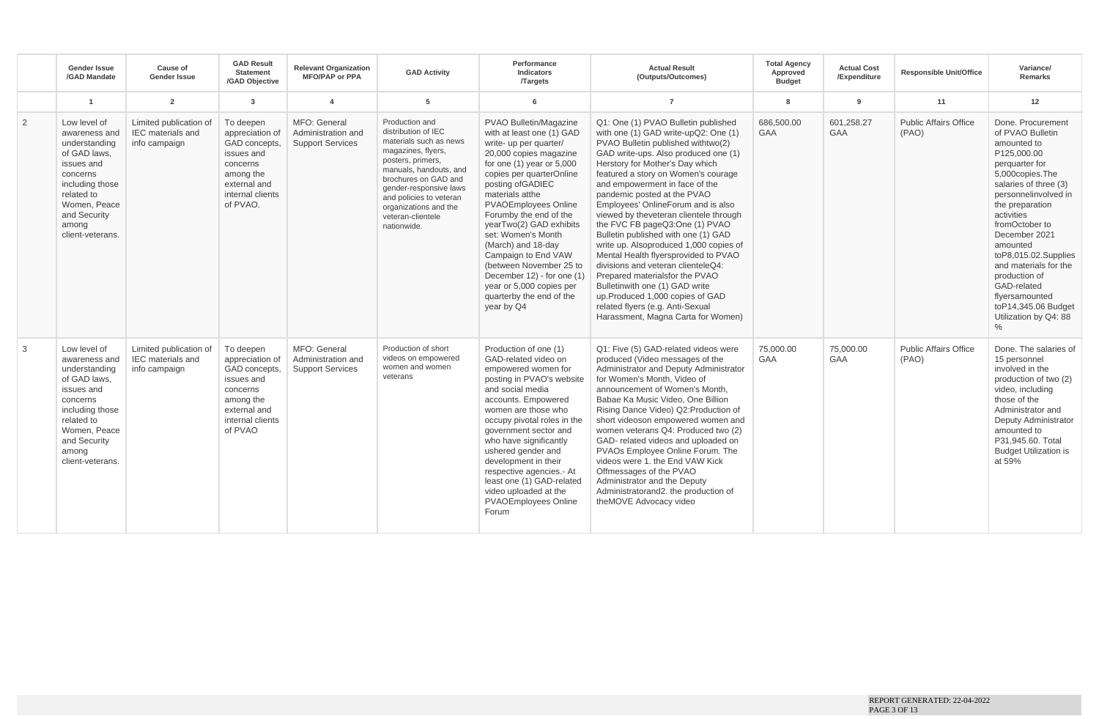|   | <b>Gender Issue</b><br>/GAD Mandate                                                                                                                                                    | Cause of<br><b>Gender Issue</b>                                     | <b>GAD Result</b><br><b>Statement</b><br>/GAD Objective                                                                              | <b>Relevant Organization</b><br><b>MFO/PAP or PPA</b>         | <b>GAD Activity</b>                                                                                                                                                                                                                                                            | Performance<br>Indicators<br><b>Targets</b>                                                                                                                                                                                                                                                                                                                                                                                                                                                 | <b>Actual Result</b><br>(Outputs/Outcomes)                                                                                                                                                                                                                                                                                                                                                                                                                                                                                                                                                                                                                                                                                                                              | <b>Total Agency</b><br>Approved<br><b>Budget</b> | <b>Actual Cost</b><br>/Expenditure | <b>Responsible Unit/Office</b>        | Variance/<br>Remarks                                                                                                                                                                                                                                                                                                                                                                                 |
|---|----------------------------------------------------------------------------------------------------------------------------------------------------------------------------------------|---------------------------------------------------------------------|--------------------------------------------------------------------------------------------------------------------------------------|---------------------------------------------------------------|--------------------------------------------------------------------------------------------------------------------------------------------------------------------------------------------------------------------------------------------------------------------------------|---------------------------------------------------------------------------------------------------------------------------------------------------------------------------------------------------------------------------------------------------------------------------------------------------------------------------------------------------------------------------------------------------------------------------------------------------------------------------------------------|-------------------------------------------------------------------------------------------------------------------------------------------------------------------------------------------------------------------------------------------------------------------------------------------------------------------------------------------------------------------------------------------------------------------------------------------------------------------------------------------------------------------------------------------------------------------------------------------------------------------------------------------------------------------------------------------------------------------------------------------------------------------------|--------------------------------------------------|------------------------------------|---------------------------------------|------------------------------------------------------------------------------------------------------------------------------------------------------------------------------------------------------------------------------------------------------------------------------------------------------------------------------------------------------------------------------------------------------|
|   | $\blacktriangleleft$                                                                                                                                                                   | $\overline{2}$                                                      | $\overline{\mathbf{3}}$                                                                                                              | $\overline{4}$                                                | 5                                                                                                                                                                                                                                                                              | 6                                                                                                                                                                                                                                                                                                                                                                                                                                                                                           | $\overline{7}$                                                                                                                                                                                                                                                                                                                                                                                                                                                                                                                                                                                                                                                                                                                                                          | 8                                                | 9                                  | 11                                    | 12                                                                                                                                                                                                                                                                                                                                                                                                   |
| 2 | Low level of<br>awareness and<br>understanding<br>of GAD laws.<br>issues and<br>concerns<br>including those<br>related to<br>Women, Peace<br>and Security<br>among<br>client-veterans. | Limited publication of<br><b>IEC</b> materials and<br>info campaign | To deepen<br>appreciation of<br>GAD concepts,<br>issues and<br>concerns<br>among the<br>external and<br>internal clients<br>of PVAO. | MFO: General<br>Administration and<br><b>Support Services</b> | Production and<br>distribution of IEC<br>materials such as news<br>magazines, flyers,<br>posters, primers,<br>manuals, handouts, and<br>brochures on GAD and<br>gender-responsive laws<br>and policies to veteran<br>organizations and the<br>veteran-clientele<br>nationwide. | PVAO Bulletin/Magazine<br>with at least one (1) GAD<br>write- up per quarter/<br>20,000 copies magazine<br>for one $(1)$ year or $5,000$<br>copies per quarterOnline<br>posting of GADIEC<br>materials atthe<br>PVAOEmployees Online<br>Forumby the end of the<br>yearTwo(2) GAD exhibits<br>set: Women's Month<br>(March) and 18-day<br>Campaign to End VAW<br>(between November 25 to<br>December 12) - for one (1)<br>year or 5,000 copies per<br>quarterby the end of the<br>year by Q4 | Q1: One (1) PVAO Bulletin published<br>with one (1) GAD write-upQ2: One (1)<br>PVAO Bulletin published with two(2)<br>GAD write-ups. Also produced one (1)<br>Herstory for Mother's Day which<br>featured a story on Women's courage<br>and empowerment in face of the<br>pandemic posted at the PVAO<br>Employees' OnlineForum and is also<br>viewed by theveteran clientele through<br>the FVC FB pageQ3:One (1) PVAO<br>Bulletin published with one (1) GAD<br>write up. Alsoproduced 1,000 copies of<br>Mental Health flyersprovided to PVAO<br>divisions and veteran clienteleQ4:<br>Prepared materialsfor the PVAO<br>Bulletinwith one (1) GAD write<br>up.Produced 1,000 copies of GAD<br>related flyers (e.g. Anti-Sexual<br>Harassment, Magna Carta for Women) | 686,500.00<br><b>GAA</b>                         | 601.258.27<br>GAA                  | <b>Public Affairs Office</b><br>(PAO) | Done, Procurement<br>of PVAO Bulletin<br>amounted to<br>P125.000.00<br>perquarter for<br>5,000copies.The<br>salaries of three (3)<br>personnelinvolved in<br>the preparation<br>activities<br>fromOctober to<br>December 2021<br>amounted<br>toP8,015.02.Supplies<br>and materials for the<br>production of<br>GAD-related<br>flyersamounted<br>toP14,345.06 Budget<br>Utilization by Q4: 88<br>$\%$ |
| 3 | Low level of<br>awareness and<br>understanding<br>of GAD laws.<br>issues and<br>concerns<br>including those<br>related to<br>Women, Peace<br>and Security<br>among<br>client-veterans. | Limited publication of<br><b>IEC</b> materials and<br>info campaign | To deepen<br>appreciation of<br>GAD concepts.<br>issues and<br>concerns<br>among the<br>external and<br>internal clients<br>of PVAO  | MFO: General<br>Administration and<br><b>Support Services</b> | Production of short<br>videos on empowered<br>women and women<br>veterans                                                                                                                                                                                                      | Production of one (1)<br>GAD-related video on<br>empowered women for<br>posting in PVAO's website<br>and social media<br>accounts. Empowered<br>women are those who<br>occupy pivotal roles in the<br>government sector and<br>who have significantly<br>ushered gender and<br>development in their<br>respective agencies.- At<br>least one (1) GAD-related<br>video uploaded at the<br><b>PVAOEmployees Online</b><br>Forum                                                               | Q1: Five (5) GAD-related videos were<br>produced (Video messages of the<br>Administrator and Deputy Administrator<br>for Women's Month. Video of<br>announcement of Women's Month.<br>Babae Ka Music Video, One Billion<br>Rising Dance Video) Q2: Production of<br>short videoson empowered women and<br>women veterans Q4: Produced two (2)<br>GAD- related videos and uploaded on<br>PVAOs Employee Online Forum. The<br>videos were 1, the End VAW Kick<br>Offmessages of the PVAO<br>Administrator and the Deputy<br>Administratorand2. the production of<br>theMOVE Advocacy video                                                                                                                                                                                | 75.000.00<br><b>GAA</b>                          | 75,000.00<br>GAA                   | <b>Public Affairs Office</b><br>(PAO) | Done. The salaries of<br>15 personnel<br>involved in the<br>production of two (2)<br>video, including<br>those of the<br>Administrator and<br>Deputy Administrator<br>amounted to<br>P31.945.60. Total<br><b>Budget Utilization is</b><br>at 59%                                                                                                                                                     |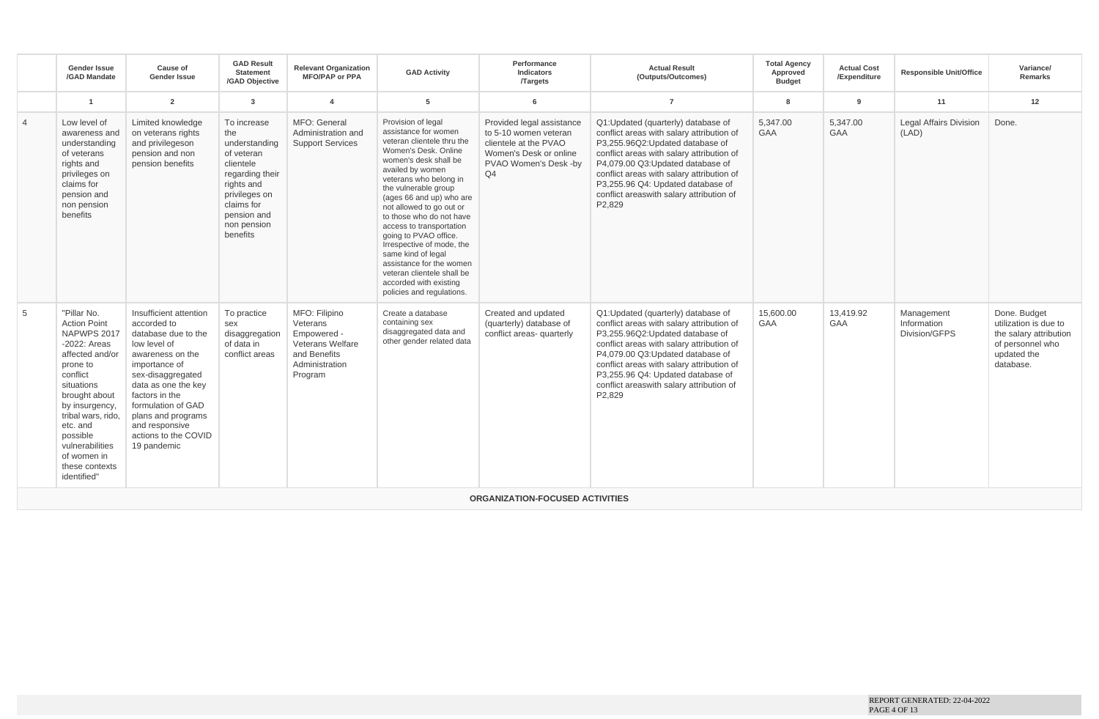|                | <b>Gender Issue</b><br>/GAD Mandate                                                                                                                                                                                                                                           | Cause of<br><b>Gender Issue</b>                                                                                                                                                                                                                                                      | <b>GAD Result</b><br><b>Statement</b><br>/GAD Objective                                                                                                                  | <b>Relevant Organization</b><br><b>MFO/PAP or PPA</b>                                                     | <b>GAD Activity</b>                                                                                                                                                                                                                                                                                                                                                                                                                                                                                          | Performance<br>Indicators<br><b>Targets</b>                                                                                          | <b>Actual Result</b><br>(Outputs/Outcomes)                                                                                                                                                                                                                                                                                                   | <b>Total Agency</b><br>Approved<br><b>Budget</b> | <b>Actual Cost</b><br>/Expenditure | <b>Responsible Unit/Office</b>             | Variance/<br><b>Remarks</b>                                                                                     |
|----------------|-------------------------------------------------------------------------------------------------------------------------------------------------------------------------------------------------------------------------------------------------------------------------------|--------------------------------------------------------------------------------------------------------------------------------------------------------------------------------------------------------------------------------------------------------------------------------------|--------------------------------------------------------------------------------------------------------------------------------------------------------------------------|-----------------------------------------------------------------------------------------------------------|--------------------------------------------------------------------------------------------------------------------------------------------------------------------------------------------------------------------------------------------------------------------------------------------------------------------------------------------------------------------------------------------------------------------------------------------------------------------------------------------------------------|--------------------------------------------------------------------------------------------------------------------------------------|----------------------------------------------------------------------------------------------------------------------------------------------------------------------------------------------------------------------------------------------------------------------------------------------------------------------------------------------|--------------------------------------------------|------------------------------------|--------------------------------------------|-----------------------------------------------------------------------------------------------------------------|
|                | $\overline{1}$                                                                                                                                                                                                                                                                | $\overline{2}$                                                                                                                                                                                                                                                                       | $\mathbf{3}$                                                                                                                                                             | $\overline{4}$                                                                                            | 5                                                                                                                                                                                                                                                                                                                                                                                                                                                                                                            | 6                                                                                                                                    | $\overline{7}$                                                                                                                                                                                                                                                                                                                               | 8                                                | 9                                  | 11                                         | 12                                                                                                              |
| $\overline{4}$ | Low level of<br>awareness and<br>understanding<br>of veterans<br>rights and<br>privileges on<br>claims for<br>pension and<br>non pension<br>benefits                                                                                                                          | Limited knowledge<br>on veterans rights<br>and privilegeson<br>pension and non<br>pension benefits                                                                                                                                                                                   | To increase<br>the<br>understanding<br>of veteran<br>clientele<br>regarding their<br>rights and<br>privileges on<br>claims for<br>pension and<br>non pension<br>benefits | MFO: General<br>Administration and<br><b>Support Services</b>                                             | Provision of legal<br>assistance for women<br>veteran clientele thru the<br>Women's Desk, Online<br>women's desk shall be<br>availed by women<br>veterans who belong in<br>the vulnerable group<br>(ages 66 and up) who are<br>not allowed to go out or<br>to those who do not have<br>access to transportation<br>going to PVAO office.<br>Irrespective of mode, the<br>same kind of legal<br>assistance for the women<br>veteran clientele shall be<br>accorded with existing<br>policies and regulations. | Provided legal assistance<br>to 5-10 women veteran<br>clientele at the PVAO<br>Women's Desk or online<br>PVAO Women's Desk -by<br>Q4 | Q1:Updated (quarterly) database of<br>conflict areas with salary attribution of<br>P3,255.96Q2:Updated database of<br>conflict areas with salary attribution of<br>P4,079.00 Q3: Updated database of<br>conflict areas with salary attribution of<br>P3,255.96 Q4: Updated database of<br>conflict areaswith salary attribution of<br>P2.829 | 5,347.00<br>GAA                                  | 5,347.00<br>GAA                    | <b>Legal Affairs Division</b><br>(LAD)     | Done.                                                                                                           |
| 5              | "Pillar No.<br><b>Action Point</b><br>NAPWPS 2017<br>-2022: Areas<br>affected and/or<br>prone to<br>conflict<br>situations<br>brought about<br>by insurgency<br>tribal wars, rido,<br>etc. and<br>possible<br>vulnerabilities<br>of women in<br>these contexts<br>identified" | Insufficient attention<br>accorded to<br>database due to the<br>low level of<br>awareness on the<br>importance of<br>sex-disaggregated<br>data as one the key<br>factors in the<br>formulation of GAD<br>plans and programs<br>and responsive<br>actions to the COVID<br>19 pandemic | To practice<br>sex<br>disaggregation<br>of data in<br>conflict areas                                                                                                     | MFO: Filipino<br>Veterans<br>Empowered -<br>Veterans Welfare<br>and Benefits<br>Administration<br>Program | Create a database<br>containing sex<br>disaggregated data and<br>other gender related data                                                                                                                                                                                                                                                                                                                                                                                                                   | Created and updated<br>(quarterly) database of<br>conflict areas- quarterly                                                          | Q1:Updated (quarterly) database of<br>conflict areas with salary attribution of<br>P3,255.96Q2:Updated database of<br>conflict areas with salary attribution of<br>P4,079.00 Q3:Updated database of<br>conflict areas with salary attribution of<br>P3,255.96 Q4: Updated database of<br>conflict areaswith salary attribution of<br>P2,829  | 15,600.00<br><b>GAA</b>                          | 13,419.92<br><b>GAA</b>            | Management<br>Information<br>Division/GFPS | Done. Budget<br>utilization is due to<br>the salary attribution<br>of personnel who<br>updated the<br>database. |
|                |                                                                                                                                                                                                                                                                               |                                                                                                                                                                                                                                                                                      |                                                                                                                                                                          |                                                                                                           |                                                                                                                                                                                                                                                                                                                                                                                                                                                                                                              | <b>ORGANIZATION-FOCUSED ACTIVITIES</b>                                                                                               |                                                                                                                                                                                                                                                                                                                                              |                                                  |                                    |                                            |                                                                                                                 |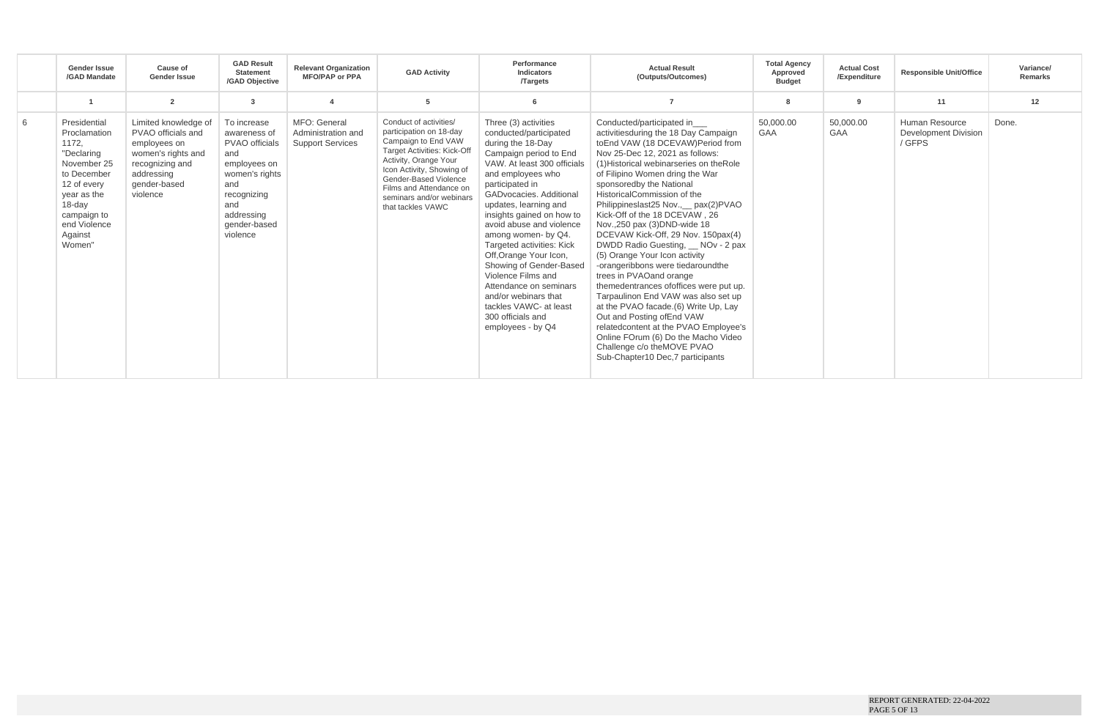|   | <b>Gender Issue</b><br>/GAD Mandate                                                                                                                                           | Cause of<br>Gender Issue                                                                                                                      | <b>GAD Result</b><br><b>Statement</b><br>/GAD Objective                                                                                                       | <b>Relevant Organization</b><br><b>MFO/PAP or PPA</b>         | <b>GAD Activity</b>                                                                                                                                                                                                                                                       | Performance<br>Indicators<br><b>Targets</b>                                                                                                                                                                                                                                                                                                                                                                                                                                                                                            | <b>Actual Result</b><br>(Outputs/Outcomes)                                                                                                                                                                                                                                                                                                                                                                                                                                                                                                                                                                                                                                                                                                                                                                                                      | <b>Total Agency</b><br>Approved<br><b>Budget</b> | <b>Actual Cost</b><br>/Expenditure | <b>Responsible Unit/Office</b>                   | Variance/<br>Remarks |
|---|-------------------------------------------------------------------------------------------------------------------------------------------------------------------------------|-----------------------------------------------------------------------------------------------------------------------------------------------|---------------------------------------------------------------------------------------------------------------------------------------------------------------|---------------------------------------------------------------|---------------------------------------------------------------------------------------------------------------------------------------------------------------------------------------------------------------------------------------------------------------------------|----------------------------------------------------------------------------------------------------------------------------------------------------------------------------------------------------------------------------------------------------------------------------------------------------------------------------------------------------------------------------------------------------------------------------------------------------------------------------------------------------------------------------------------|-------------------------------------------------------------------------------------------------------------------------------------------------------------------------------------------------------------------------------------------------------------------------------------------------------------------------------------------------------------------------------------------------------------------------------------------------------------------------------------------------------------------------------------------------------------------------------------------------------------------------------------------------------------------------------------------------------------------------------------------------------------------------------------------------------------------------------------------------|--------------------------------------------------|------------------------------------|--------------------------------------------------|----------------------|
|   |                                                                                                                                                                               | $\overline{2}$                                                                                                                                | -3                                                                                                                                                            | $\boldsymbol{4}$                                              | 5                                                                                                                                                                                                                                                                         |                                                                                                                                                                                                                                                                                                                                                                                                                                                                                                                                        |                                                                                                                                                                                                                                                                                                                                                                                                                                                                                                                                                                                                                                                                                                                                                                                                                                                 | 8                                                | ۹                                  | 11                                               | 12                   |
| 6 | Presidential<br>Proclamation<br>1172,<br>"Declaring<br>November 25<br>to December<br>12 of every<br>year as the<br>18-day<br>campaign to<br>end Violence<br>Against<br>Women" | Limited knowledge of<br>PVAO officials and<br>employees on<br>women's rights and<br>recognizing and<br>addressing<br>gender-based<br>violence | To increase<br>awareness of<br>PVAO officials<br>and<br>employees on<br>women's rights<br>and<br>recognizing<br>and<br>addressing<br>gender-based<br>violence | MFO: General<br>Administration and<br><b>Support Services</b> | Conduct of activities/<br>participation on 18-day<br>Campaign to End VAW<br><b>Target Activities: Kick-Off</b><br>Activity, Orange Your<br>Icon Activity, Showing of<br>Gender-Based Violence<br>Films and Attendance on<br>seminars and/or webinars<br>that tackles VAWC | Three (3) activities<br>conducted/participated<br>during the 18-Day<br>Campaign period to End<br>VAW. At least 300 officials<br>and employees who<br>participated in<br>GADvocacies, Additional<br>updates, learning and<br>insights gained on how to<br>avoid abuse and violence<br>among women- by Q4.<br>Targeted activities: Kick<br>Off, Orange Your Icon,<br>Showing of Gender-Based<br>Violence Films and<br>Attendance on seminars<br>and/or webinars that<br>tackles VAWC- at least<br>300 officials and<br>employees - by Q4 | Conducted/participated in<br>activities during the 18 Day Campaign<br>toEnd VAW (18 DCEVAW)Period from<br>Nov 25-Dec 12, 2021 as follows:<br>(1) Historical webinarseries on the Role<br>of Filipino Women dring the War<br>sponsoredby the National<br>HistoricalCommission of the<br>Philippineslast25 Nov., __ pax(2)PVAO<br>Kick-Off of the 18 DCEVAW, 26<br>Nov., 250 pax (3) DND-wide 18<br>DCEVAW Kick-Off, 29 Nov. 150pax(4)<br>(5) Orange Your Icon activity<br>-orangeribbons were tiedaroundthe<br>trees in PVAOand orange<br>themedentrances ofoffices were put up.<br>Tarpaulinon End VAW was also set up<br>at the PVAO facade.(6) Write Up, Lay<br>Out and Posting of End VAW<br>relatedcontent at the PVAO Employee's<br>Online FOrum (6) Do the Macho Video<br>Challenge c/o theMOVE PVAO<br>Sub-Chapter10 Dec, 7 participants | 50.000.00<br>GAA                                 | 50,000.00<br><b>GAA</b>            | Human Resource<br>Development Division<br>/ GFPS | Done.                |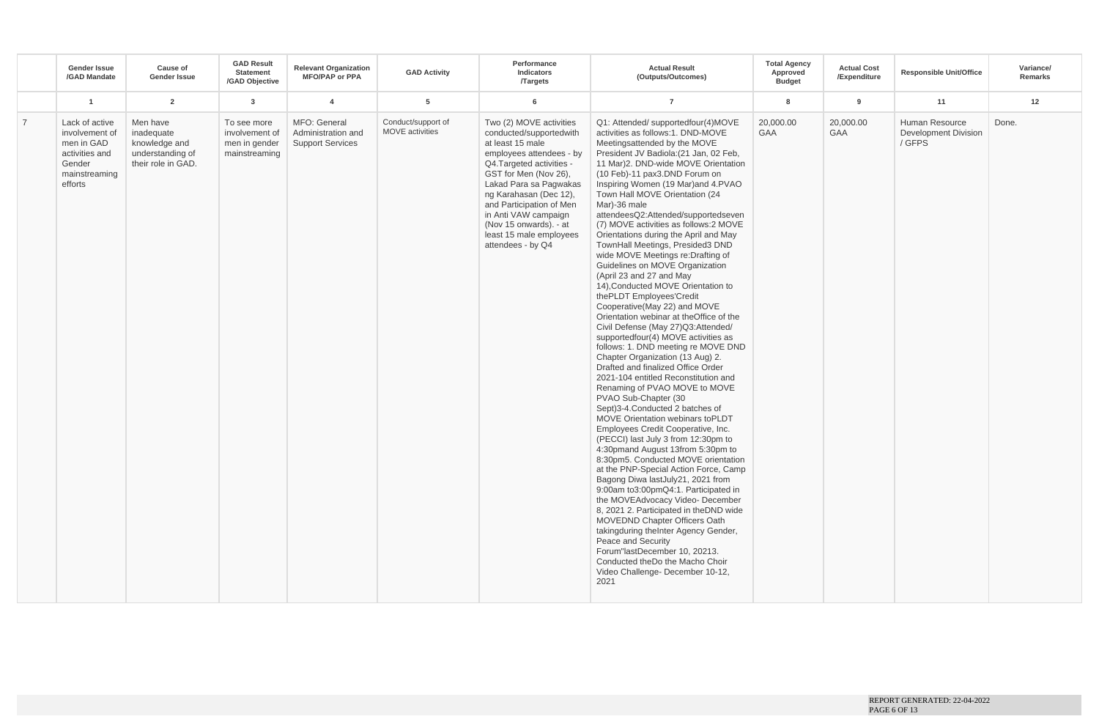| $\overline{2}$<br>$5\phantom{.0}$<br>12<br>$\overline{1}$<br>$\mathbf{3}$<br>$\overline{4}$<br>6<br>$\overline{7}$<br>8<br>9<br>11<br>MFO: General<br>Conduct/support of<br>Two (2) MOVE activities<br>Q1: Attended/ supportedfour(4)MOVE<br>20,000.00<br>Human Resource<br>Done.<br>$\overline{7}$<br>Lack of active<br>Men have<br>20,000.00<br>To see more<br>MOVE activities<br>activities as follows:1. DND-MOVE<br>Development Division<br>inadequate<br>involvement of<br>Administration and<br>conducted/supportedwith<br><b>GAA</b><br><b>GAA</b><br>involvement of<br>/ GFPS<br>men in GAD<br>knowledge and<br><b>Support Services</b><br>at least 15 male<br>Meetingsattended by the MOVE<br>men in gender<br>activities and<br>understanding of<br>President JV Badiola: (21 Jan, 02 Feb,<br>mainstreaming<br>employees attendees - by<br>their role in GAD.<br>Q4.Targeted activities -<br>11 Mar)2. DND-wide MOVE Orientation<br>Gender<br>GST for Men (Nov 26),<br>(10 Feb)-11 pax3.DND Forum on<br>mainstreaming<br>Lakad Para sa Pagwakas<br>Inspiring Women (19 Mar) and 4.PVAO<br>efforts<br>Town Hall MOVE Orientation (24<br>ng Karahasan (Dec 12),<br>and Participation of Men<br>Mar)-36 male<br>in Anti VAW campaign<br>attendeesQ2:Attended/supportedseven<br>(Nov 15 onwards). - at<br>(7) MOVE activities as follows:2 MOVE<br>least 15 male employees<br>Orientations during the April and May<br>attendees - by Q4<br>TownHall Meetings, Presided3 DND<br>wide MOVE Meetings re: Drafting of<br>Guidelines on MOVE Organization<br>(April 23 and 27 and May<br>14), Conducted MOVE Orientation to<br>thePLDT Employees'Credit<br>Cooperative(May 22) and MOVE<br>Orientation webinar at theOffice of the<br>Civil Defense (May 27)Q3:Attended/<br>supportedfour(4) MOVE activities as<br>follows: 1. DND meeting re MOVE DND<br>Chapter Organization (13 Aug) 2.<br>Drafted and finalized Office Order<br>2021-104 entitled Reconstitution and<br>Renaming of PVAO MOVE to MOVE<br>PVAO Sub-Chapter (30<br>Sept)3-4.Conducted 2 batches of | <b>Gender Issue</b><br>/GAD Mandate | Cause of<br><b>Gender Issue</b> | <b>GAD Result</b><br><b>Statement</b><br>/GAD Objective | <b>Relevant Organization</b><br><b>MFO/PAP or PPA</b> | <b>GAD Activity</b> | Performance<br><b>Indicators</b><br><b>Targets</b> | <b>Actual Result</b><br>(Outputs/Outcomes) | <b>Total Agency</b><br>Approved<br><b>Budget</b> | <b>Actual Cost</b><br>/Expenditure | <b>Responsible Unit/Office</b> | Variance/<br>Remarks |
|-------------------------------------------------------------------------------------------------------------------------------------------------------------------------------------------------------------------------------------------------------------------------------------------------------------------------------------------------------------------------------------------------------------------------------------------------------------------------------------------------------------------------------------------------------------------------------------------------------------------------------------------------------------------------------------------------------------------------------------------------------------------------------------------------------------------------------------------------------------------------------------------------------------------------------------------------------------------------------------------------------------------------------------------------------------------------------------------------------------------------------------------------------------------------------------------------------------------------------------------------------------------------------------------------------------------------------------------------------------------------------------------------------------------------------------------------------------------------------------------------------------------------------------------------------------------------------------------------------------------------------------------------------------------------------------------------------------------------------------------------------------------------------------------------------------------------------------------------------------------------------------------------------------------------------------------------------------------------------------------------------------------------------------------------------------------------|-------------------------------------|---------------------------------|---------------------------------------------------------|-------------------------------------------------------|---------------------|----------------------------------------------------|--------------------------------------------|--------------------------------------------------|------------------------------------|--------------------------------|----------------------|
|                                                                                                                                                                                                                                                                                                                                                                                                                                                                                                                                                                                                                                                                                                                                                                                                                                                                                                                                                                                                                                                                                                                                                                                                                                                                                                                                                                                                                                                                                                                                                                                                                                                                                                                                                                                                                                                                                                                                                                                                                                                                         |                                     |                                 |                                                         |                                                       |                     |                                                    |                                            |                                                  |                                    |                                |                      |
| Employees Credit Cooperative, Inc.<br>(PECCI) last July 3 from 12:30pm to<br>4:30pmand August 13from 5:30pm to<br>8:30pm5. Conducted MOVE orientation<br>at the PNP-Special Action Force, Camp<br>Bagong Diwa lastJuly21, 2021 from<br>9:00am to3:00pmQ4:1. Participated in<br>the MOVEAdvocacy Video- December<br>8, 2021 2. Participated in the DND wide<br><b>MOVEDND Chapter Officers Oath</b><br>takingduring theInter Agency Gender,<br>Peace and Security<br>Forum"lastDecember 10, 20213.<br>Conducted the Do the Macho Choir<br>Video Challenge-December 10-12,<br>2021                                                                                                                                                                                                                                                                                                                                                                                                                                                                                                                                                                                                                                                                                                                                                                                                                                                                                                                                                                                                                                                                                                                                                                                                                                                                                                                                                                                                                                                                                        |                                     |                                 |                                                         |                                                       |                     |                                                    | MOVE Orientation webinars toPLDT           |                                                  |                                    |                                |                      |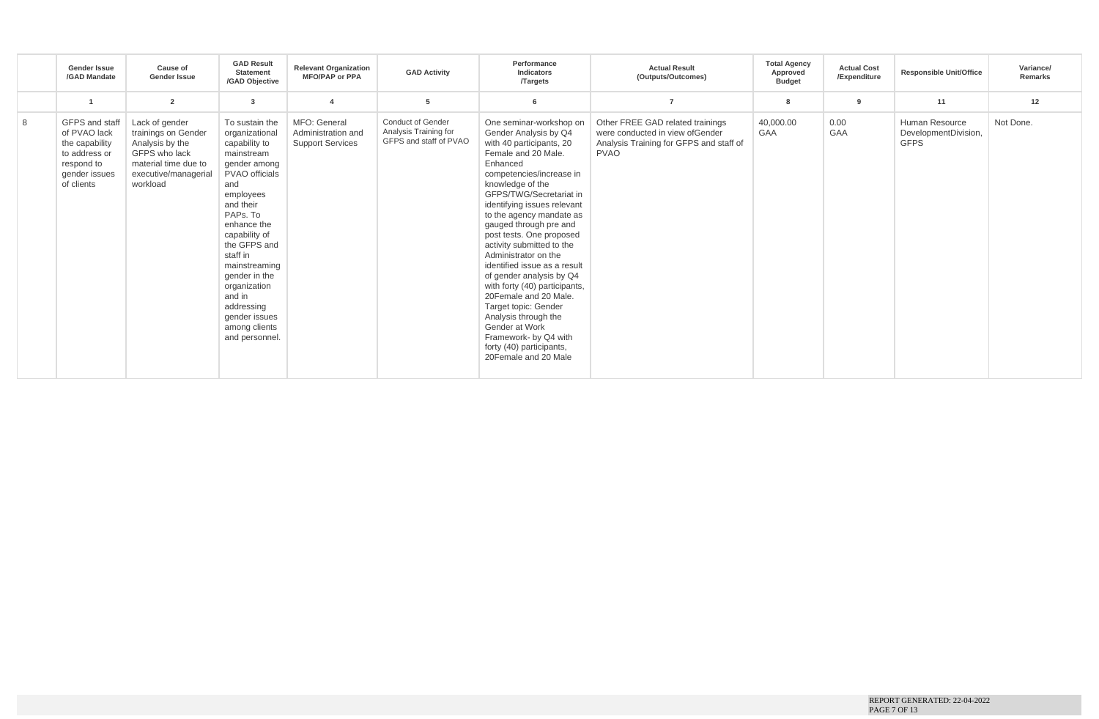|   | <b>Gender Issue</b><br>/GAD Mandate                                                                            | Cause of<br><b>Gender Issue</b>                                                                                                       | <b>GAD Result</b><br><b>Statement</b><br>/GAD Objective                                                                                                                                                                                                                                                                                  | <b>Relevant Organization</b><br><b>MFO/PAP or PPA</b>         | <b>GAD Activity</b>                                                         | Performance<br>Indicators<br><b>Targets</b>                                                                                                                                                                                                                                                                                                                                                                                                                                                                                                                                                                                             | <b>Actual Result</b><br>(Outputs/Outcomes)                                                                                     | <b>Total Agency</b><br>Approved<br><b>Budget</b> | <b>Actual Cost</b><br>/Expenditure | <b>Responsible Unit/Office</b>                        | Variance/<br>Remarks |
|---|----------------------------------------------------------------------------------------------------------------|---------------------------------------------------------------------------------------------------------------------------------------|------------------------------------------------------------------------------------------------------------------------------------------------------------------------------------------------------------------------------------------------------------------------------------------------------------------------------------------|---------------------------------------------------------------|-----------------------------------------------------------------------------|-----------------------------------------------------------------------------------------------------------------------------------------------------------------------------------------------------------------------------------------------------------------------------------------------------------------------------------------------------------------------------------------------------------------------------------------------------------------------------------------------------------------------------------------------------------------------------------------------------------------------------------------|--------------------------------------------------------------------------------------------------------------------------------|--------------------------------------------------|------------------------------------|-------------------------------------------------------|----------------------|
|   |                                                                                                                | $\overline{2}$                                                                                                                        | 3                                                                                                                                                                                                                                                                                                                                        |                                                               | -5                                                                          | 6                                                                                                                                                                                                                                                                                                                                                                                                                                                                                                                                                                                                                                       |                                                                                                                                | 8                                                | a                                  | 11                                                    | 12                   |
| 8 | GFPS and staff<br>of PVAO lack<br>the capability<br>to address or<br>respond to<br>gender issues<br>of clients | Lack of gender<br>trainings on Gender<br>Analysis by the<br>GFPS who lack<br>material time due to<br>executive/managerial<br>workload | To sustain the<br>organizational<br>capability to<br>mainstream<br>gender among<br>PVAO officials<br>and<br>employees<br>and their<br>PAPs. To<br>enhance the<br>capability of<br>the GFPS and<br>staff in<br>mainstreaming<br>gender in the<br>organization<br>and in<br>addressing<br>gender issues<br>among clients<br>and personnel. | MFO: General<br>Administration and<br><b>Support Services</b> | <b>Conduct of Gender</b><br>Analysis Training for<br>GFPS and staff of PVAO | One seminar-workshop on<br>Gender Analysis by Q4<br>with 40 participants, 20<br>Female and 20 Male.<br>Enhanced<br>competencies/increase in<br>knowledge of the<br>GFPS/TWG/Secretariat in<br>identifying issues relevant<br>to the agency mandate as<br>gauged through pre and<br>post tests. One proposed<br>activity submitted to the<br>Administrator on the<br>identified issue as a result<br>of gender analysis by Q4<br>with forty (40) participants,<br>20 Female and 20 Male.<br>Target topic: Gender<br>Analysis through the<br>Gender at Work<br>Framework- by Q4 with<br>forty (40) participants,<br>20 Female and 20 Male | Other FREE GAD related trainings<br>were conducted in view of Gender<br>Analysis Training for GFPS and staff of<br><b>PVAO</b> | 40,000.00<br>GAA                                 | 0.00<br>GAA                        | Human Resource<br>DevelopmentDivision,<br><b>GFPS</b> | Not Done.            |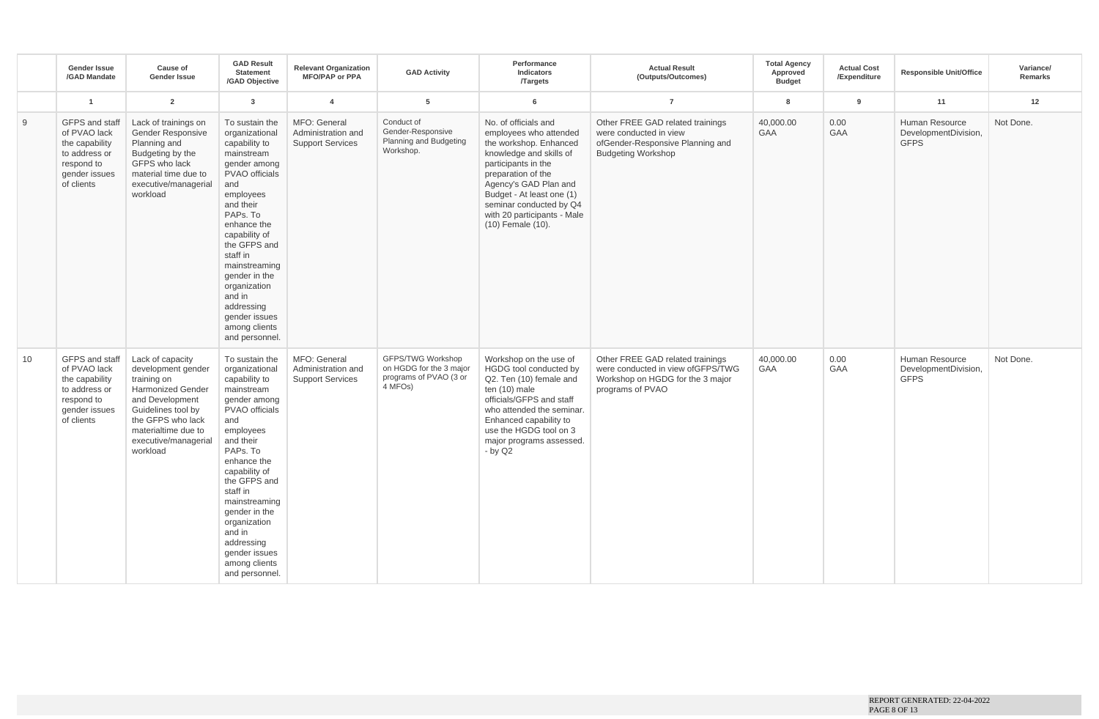|    | <b>Gender Issue</b><br>/GAD Mandate                                                                            | Cause of<br>Gender Issue                                                                                                                                                                                   | <b>GAD Result</b><br><b>Statement</b><br>/GAD Objective                                                                                                                                                                                                                                                                                         | <b>Relevant Organization</b><br><b>MFO/PAP or PPA</b>         | <b>GAD Activity</b>                                                               | Performance<br>Indicators<br><b>Targets</b>                                                                                                                                                                                                                                           | <b>Actual Result</b><br>(Outputs/Outcomes)                                                                                    | <b>Total Agency</b><br>Approved<br><b>Budget</b> | <b>Actual Cost</b><br>/Expenditure | <b>Responsible Unit/Office</b>                        | Variance/<br>Remarks |
|----|----------------------------------------------------------------------------------------------------------------|------------------------------------------------------------------------------------------------------------------------------------------------------------------------------------------------------------|-------------------------------------------------------------------------------------------------------------------------------------------------------------------------------------------------------------------------------------------------------------------------------------------------------------------------------------------------|---------------------------------------------------------------|-----------------------------------------------------------------------------------|---------------------------------------------------------------------------------------------------------------------------------------------------------------------------------------------------------------------------------------------------------------------------------------|-------------------------------------------------------------------------------------------------------------------------------|--------------------------------------------------|------------------------------------|-------------------------------------------------------|----------------------|
|    | $\overline{1}$                                                                                                 | $\overline{2}$                                                                                                                                                                                             | $\mathbf{3}$                                                                                                                                                                                                                                                                                                                                    | $\overline{4}$                                                | 5                                                                                 | 6                                                                                                                                                                                                                                                                                     | $\overline{7}$                                                                                                                | 8                                                | 9                                  | 11                                                    | 12                   |
| 9  | GFPS and staff<br>of PVAO lack<br>the capability<br>to address or<br>respond to<br>gender issues<br>of clients | Lack of trainings on<br>Gender Responsive<br>Planning and<br>Budgeting by the<br>GFPS who lack<br>material time due to<br>executive/managerial<br>workload                                                 | To sustain the<br>organizational<br>capability to<br>mainstream<br>gender among<br>PVAO officials<br>and<br>employees<br>and their<br>PAPs. To<br>enhance the<br>capability of<br>the GFPS and<br>staff in<br>mainstreaming<br>gender in the<br>organization<br>and in<br>addressing<br>gender issues<br>among clients<br>and personnel.        | MFO: General<br>Administration and<br><b>Support Services</b> | Conduct of<br>Gender-Responsive<br>Planning and Budgeting<br>Workshop.            | No. of officials and<br>employees who attended<br>the workshop. Enhanced<br>knowledge and skills of<br>participants in the<br>preparation of the<br>Agency's GAD Plan and<br>Budget - At least one (1)<br>seminar conducted by Q4<br>with 20 participants - Male<br>(10) Female (10). | Other FREE GAD related trainings<br>were conducted in view<br>ofGender-Responsive Planning and<br><b>Budgeting Workshop</b>   | 40,000.00<br><b>GAA</b>                          | 0.00<br>GAA                        | Human Resource<br>DevelopmentDivision,<br><b>GFPS</b> | Not Done.            |
| 10 | GFPS and staff<br>of PVAO lack<br>the capability<br>to address or<br>respond to<br>gender issues<br>of clients | Lack of capacity<br>development gender<br>training on<br><b>Harmonized Gender</b><br>and Development<br>Guidelines tool by<br>the GFPS who lack<br>materialtime due to<br>executive/managerial<br>workload | To sustain the<br>organizational<br>capability to<br>mainstream<br>gender among<br><b>PVAO</b> officials<br>and<br>employees<br>and their<br>PAPs. To<br>enhance the<br>capability of<br>the GFPS and<br>staff in<br>mainstreaming<br>gender in the<br>organization<br>and in<br>addressing<br>gender issues<br>among clients<br>and personnel. | MFO: General<br>Administration and<br><b>Support Services</b> | GFPS/TWG Workshop<br>on HGDG for the 3 major<br>programs of PVAO (3 or<br>4 MFOs) | Workshop on the use of<br>HGDG tool conducted by<br>Q2. Ten (10) female and<br>ten (10) male<br>officials/GFPS and staff<br>who attended the seminar.<br>Enhanced capability to<br>use the HGDG tool on 3<br>major programs assessed.<br>$-$ by Q2                                    | Other FREE GAD related trainings<br>were conducted in view ofGFPS/TWG<br>Workshop on HGDG for the 3 major<br>programs of PVAO | 40,000.00<br><b>GAA</b>                          | 0.00<br><b>GAA</b>                 | Human Resource<br>DevelopmentDivision,<br><b>GFPS</b> | Not Done.            |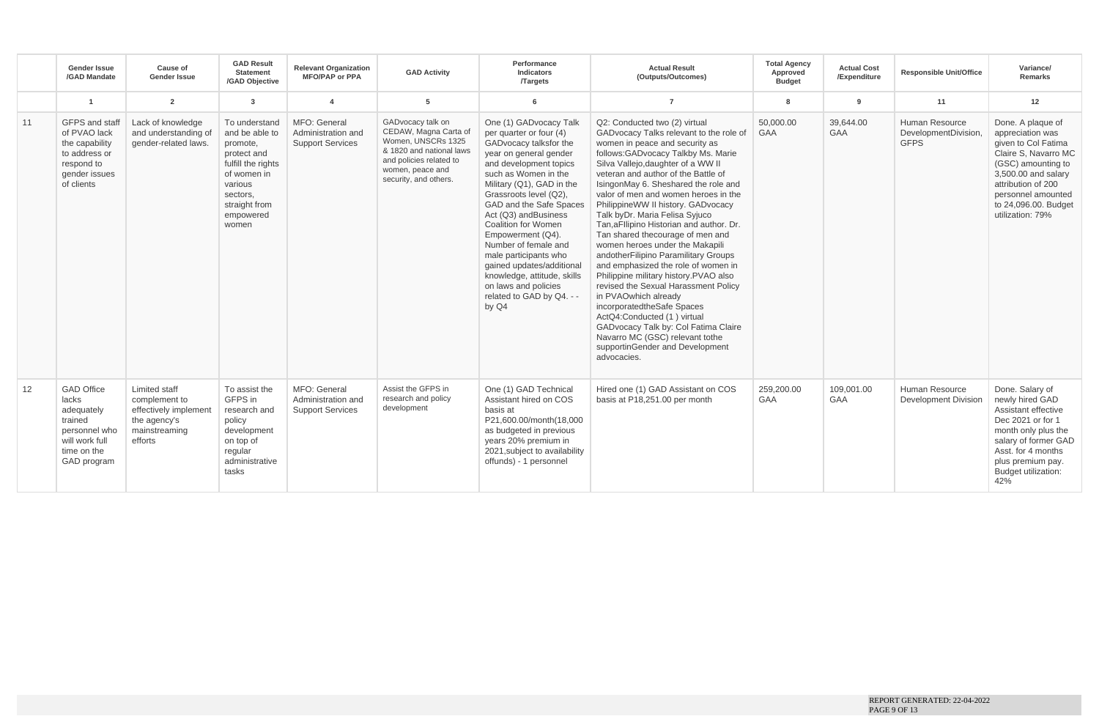|    | <b>Gender Issue</b><br>/GAD Mandate                                                                                  | Cause of<br><b>Gender Issue</b>                                                                     | <b>GAD Result</b><br>Statement<br>/GAD Objective                                                                                                              | <b>Relevant Organization</b><br><b>MFO/PAP or PPA</b>         | <b>GAD Activity</b>                                                                                                                                                  | Performance<br>Indicators<br><b>Targets</b>                                                                                                                                                                                                                                                                                                                                                                                                                                                     | <b>Actual Result</b><br>(Outputs/Outcomes)                                                                                                                                                                                                                                                                                                                                                                                                                                                                                                                                                                                                                                                                                                                                                                                                                                                 | <b>Total Agency</b><br>Approved<br><b>Budget</b> | <b>Actual Cost</b><br>/Expenditure | <b>Responsible Unit/Office</b>                        | Variance/<br><b>Remarks</b>                                                                                                                                                                                               |
|----|----------------------------------------------------------------------------------------------------------------------|-----------------------------------------------------------------------------------------------------|---------------------------------------------------------------------------------------------------------------------------------------------------------------|---------------------------------------------------------------|----------------------------------------------------------------------------------------------------------------------------------------------------------------------|-------------------------------------------------------------------------------------------------------------------------------------------------------------------------------------------------------------------------------------------------------------------------------------------------------------------------------------------------------------------------------------------------------------------------------------------------------------------------------------------------|--------------------------------------------------------------------------------------------------------------------------------------------------------------------------------------------------------------------------------------------------------------------------------------------------------------------------------------------------------------------------------------------------------------------------------------------------------------------------------------------------------------------------------------------------------------------------------------------------------------------------------------------------------------------------------------------------------------------------------------------------------------------------------------------------------------------------------------------------------------------------------------------|--------------------------------------------------|------------------------------------|-------------------------------------------------------|---------------------------------------------------------------------------------------------------------------------------------------------------------------------------------------------------------------------------|
|    | $\overline{1}$                                                                                                       | $\overline{2}$                                                                                      | $\overline{\mathbf{3}}$                                                                                                                                       | $\boldsymbol{\Delta}$                                         | 5                                                                                                                                                                    | 6                                                                                                                                                                                                                                                                                                                                                                                                                                                                                               | $\overline{7}$                                                                                                                                                                                                                                                                                                                                                                                                                                                                                                                                                                                                                                                                                                                                                                                                                                                                             | 8                                                | 9                                  | 11                                                    | 12                                                                                                                                                                                                                        |
| 11 | GFPS and staff<br>of PVAO lack<br>the capability<br>to address or<br>respond to<br>gender issues<br>of clients       | Lack of knowledge<br>and understanding of<br>gender-related laws.                                   | To understand<br>and be able to<br>promote.<br>protect and<br>fulfill the rights<br>of women in<br>various<br>sectors.<br>straight from<br>empowered<br>women | MFO: General<br>Administration and<br><b>Support Services</b> | GADvocacy talk on<br>CEDAW, Magna Carta of<br>Women, UNSCRs 1325<br>& 1820 and national laws<br>and policies related to<br>women, peace and<br>security, and others. | One (1) GADvocacy Talk<br>per quarter or four (4)<br>GADvocacy talksfor the<br>year on general gender<br>and development topics<br>such as Women in the<br>Military (Q1), GAD in the<br>Grassroots level (Q2),<br>GAD and the Safe Spaces<br>Act (Q3) andBusiness<br><b>Coalition for Women</b><br>Empowerment (Q4).<br>Number of female and<br>male participants who<br>gained updates/additional<br>knowledge, attitude, skills<br>on laws and policies<br>related to GAD by Q4. - -<br>by Q4 | Q2: Conducted two (2) virtual<br>GADvocacy Talks relevant to the role of<br>women in peace and security as<br>follows:GADvocacy Talkby Ms. Marie<br>Silva Vallejo, daughter of a WW II<br>veteran and author of the Battle of<br>IsingonMay 6. Sheshared the role and<br>valor of men and women heroes in the<br>PhilippineWW II history. GADvocacy<br>Talk byDr. Maria Felisa Syjuco<br>Tan, aFllipino Historian and author. Dr.<br>Tan shared thecourage of men and<br>women heroes under the Makapili<br>andotherFilipino Paramilitary Groups<br>and emphasized the role of women in<br>Philippine military history.PVAO also<br>revised the Sexual Harassment Policy<br>in PVAOwhich already<br>incorporatedtheSafe Spaces<br>ActQ4:Conducted (1) virtual<br>GADvocacy Talk by: Col Fatima Claire<br>Navarro MC (GSC) relevant tothe<br>supportinGender and Development<br>advocacies. | 50,000.00<br>GAA                                 | 39.644.00<br>GAA                   | Human Resource<br>DevelopmentDivision,<br><b>GFPS</b> | Done. A plaque of<br>appreciation was<br>given to Col Fatima<br>Claire S, Navarro MC<br>(GSC) amounting to<br>3,500.00 and salary<br>attribution of 200<br>personnel amounted<br>to 24,096.00. Budget<br>utilization: 79% |
| 12 | <b>GAD Office</b><br>lacks<br>adequately<br>trained<br>personnel who<br>will work full<br>time on the<br>GAD program | Limited staff<br>complement to<br>effectively implement<br>the agency's<br>mainstreaming<br>efforts | To assist the<br>GFPS in<br>research and<br>policy<br>development<br>on top of<br>regular<br>administrative<br>tasks                                          | MFO: General<br>Administration and<br><b>Support Services</b> | Assist the GFPS in<br>research and policy<br>development                                                                                                             | One (1) GAD Technical<br>Assistant hired on COS<br>basis at<br>P21,600.00/month(18,000<br>as budgeted in previous<br>years 20% premium in<br>2021, subject to availability<br>offunds) - 1 personnel                                                                                                                                                                                                                                                                                            | Hired one (1) GAD Assistant on COS<br>basis at P18,251.00 per month                                                                                                                                                                                                                                                                                                                                                                                                                                                                                                                                                                                                                                                                                                                                                                                                                        | 259,200.00<br><b>GAA</b>                         | 109,001.00<br>GAA                  | Human Resource<br><b>Development Division</b>         | Done. Salary of<br>newly hired GAD<br>Assistant effective<br>Dec 2021 or for 1<br>month only plus the<br>salary of former GAD<br>Asst. for 4 months<br>plus premium pay.<br><b>Budget utilization:</b><br>42%             |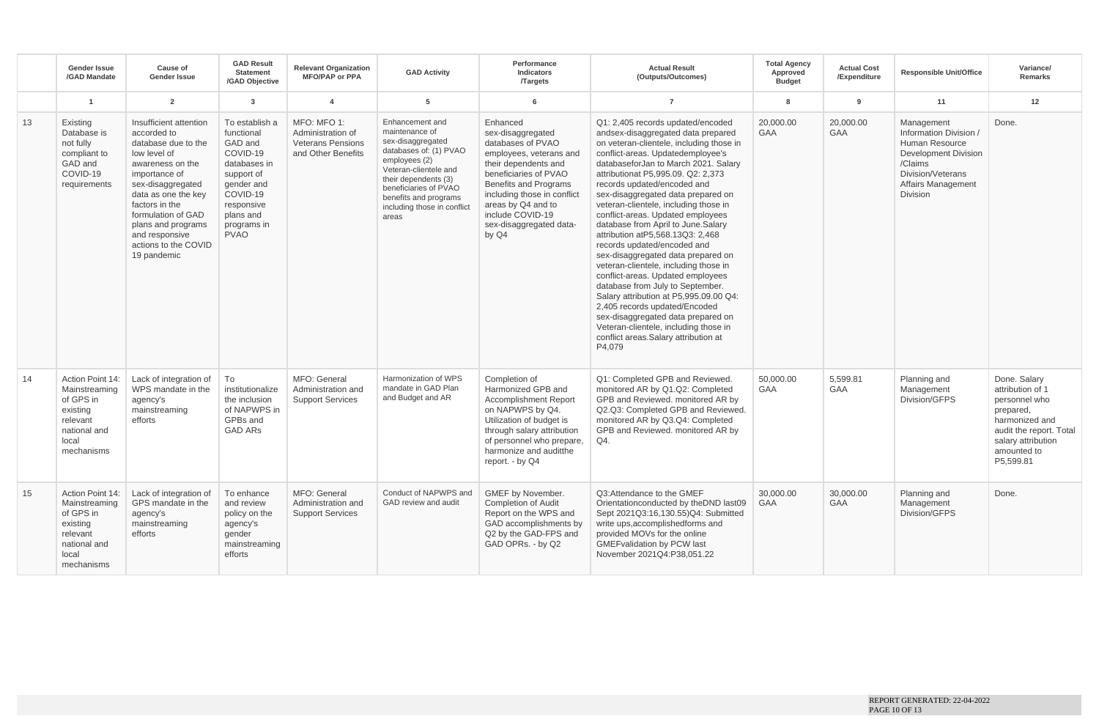|    | <b>Gender Issue</b><br>/GAD Mandate                                                                           | Cause of<br><b>Gender Issue</b>                                                                                                                                                                                                                                                      | <b>GAD Result</b><br><b>Statement</b><br>/GAD Objective                                                                                                              | <b>Relevant Organization</b><br><b>MFO/PAP or PPA</b>                              | <b>GAD Activity</b>                                                                                                                                                                                                                          | Performance<br>Indicators<br><b>Targets</b>                                                                                                                                                                                                                                 | <b>Actual Result</b><br>(Outputs/Outcomes)                                                                                                                                                                                                                                                                                                                                                                                                                                                                                                                                                                                                                                                                                                                                                                                                                              | <b>Total Agency</b><br>Approved<br><b>Budget</b> | <b>Actual Cost</b><br>/Expenditure | <b>Responsible Unit/Office</b>                                                                                                                                 | Variance/<br><b>Remarks</b>                                                                                                                                   |
|----|---------------------------------------------------------------------------------------------------------------|--------------------------------------------------------------------------------------------------------------------------------------------------------------------------------------------------------------------------------------------------------------------------------------|----------------------------------------------------------------------------------------------------------------------------------------------------------------------|------------------------------------------------------------------------------------|----------------------------------------------------------------------------------------------------------------------------------------------------------------------------------------------------------------------------------------------|-----------------------------------------------------------------------------------------------------------------------------------------------------------------------------------------------------------------------------------------------------------------------------|-------------------------------------------------------------------------------------------------------------------------------------------------------------------------------------------------------------------------------------------------------------------------------------------------------------------------------------------------------------------------------------------------------------------------------------------------------------------------------------------------------------------------------------------------------------------------------------------------------------------------------------------------------------------------------------------------------------------------------------------------------------------------------------------------------------------------------------------------------------------------|--------------------------------------------------|------------------------------------|----------------------------------------------------------------------------------------------------------------------------------------------------------------|---------------------------------------------------------------------------------------------------------------------------------------------------------------|
|    |                                                                                                               | $\overline{2}$                                                                                                                                                                                                                                                                       | $\mathbf{3}$                                                                                                                                                         | $\boldsymbol{A}$                                                                   | 5                                                                                                                                                                                                                                            | 6                                                                                                                                                                                                                                                                           | $\overline{7}$                                                                                                                                                                                                                                                                                                                                                                                                                                                                                                                                                                                                                                                                                                                                                                                                                                                          | 8                                                | $\mathbf{q}$                       | 11                                                                                                                                                             | 12                                                                                                                                                            |
| 13 | Existing<br>Database is<br>not fully<br>compliant to<br>GAD and<br>COVID-19<br>requirements                   | Insufficient attention<br>accorded to<br>database due to the<br>low level of<br>awareness on the<br>importance of<br>sex-disaggregated<br>data as one the key<br>factors in the<br>formulation of GAD<br>plans and programs<br>and responsive<br>actions to the COVID<br>19 pandemic | To establish a<br>functional<br>GAD and<br>COVID-19<br>databases in<br>support of<br>gender and<br>COVID-19<br>responsive<br>plans and<br>programs in<br><b>PVAO</b> | MFO: MFO 1:<br>Administration of<br><b>Veterans Pensions</b><br>and Other Benefits | Enhancement and<br>maintenance of<br>sex-disaggregated<br>databases of: (1) PVAO<br>employees (2)<br>Veteran-clientele and<br>their dependents (3)<br>beneficiaries of PVAO<br>benefits and programs<br>including those in conflict<br>areas | Enhanced<br>sex-disaggregated<br>databases of PVAO<br>employees, veterans and<br>their dependents and<br>beneficiaries of PVAO<br><b>Benefits and Programs</b><br>including those in conflict<br>areas by Q4 and to<br>include COVID-19<br>sex-disaggregated data-<br>by Q4 | Q1: 2,405 records updated/encoded<br>andsex-disaggregated data prepared<br>on veteran-clientele, including those in<br>conflict-areas. Updatedemployee's<br>databaseforJan to March 2021. Salary<br>attributionat P5.995.09, Q2: 2.373<br>records updated/encoded and<br>sex-disaggregated data prepared on<br>veteran-clientele, including those in<br>conflict-areas. Updated employees<br>database from April to June.Salary<br>attribution atP5,568.13Q3: 2,468<br>records updated/encoded and<br>sex-disaggregated data prepared on<br>veteran-clientele, including those in<br>conflict-areas. Updated employees<br>database from July to September.<br>Salary attribution at P5,995.09.00 Q4:<br>2,405 records updated/Encoded<br>sex-disaggregated data prepared on<br>Veteran-clientele, including those in<br>conflict areas. Salary attribution at<br>P4.079 | 20.000.00<br>GAA                                 | 20.000.00<br>GAA                   | Management<br>Information Division /<br>Human Resource<br><b>Development Division</b><br>/Claims<br>Division/Veterans<br><b>Affairs Management</b><br>Division | Done.                                                                                                                                                         |
| 14 | Action Point 14:<br>Mainstreaming<br>of GPS in<br>existing<br>relevant<br>national and<br>local<br>mechanisms | Lack of integration of<br>WPS mandate in the<br>agency's<br>mainstreaming<br>efforts                                                                                                                                                                                                 | To<br>institutionalize<br>the inclusion<br>of NAPWPS in<br>GPBs and<br><b>GAD ARS</b>                                                                                | MFO: General<br>Administration and<br><b>Support Services</b>                      | Harmonization of WPS<br>mandate in GAD Plan<br>and Budget and AR                                                                                                                                                                             | Completion of<br>Harmonized GPB and<br><b>Accomplishment Report</b><br>on NAPWPS by Q4.<br>Utilization of budget is<br>through salary attribution<br>of personnel who prepare,<br>harmonize and auditthe<br>report. - by Q4                                                 | Q1: Completed GPB and Reviewed.<br>monitored AR by Q1.Q2: Completed<br>GPB and Reviewed, monitored AR by<br>Q2.Q3: Completed GPB and Reviewed.<br>monitored AR by Q3.Q4: Completed<br>GPB and Reviewed. monitored AR by<br>Q4.                                                                                                                                                                                                                                                                                                                                                                                                                                                                                                                                                                                                                                          | 50,000.00<br><b>GAA</b>                          | 5,599.81<br><b>GAA</b>             | Planning and<br>Management<br>Division/GFPS                                                                                                                    | Done. Salary<br>attribution of 1<br>personnel who<br>prepared,<br>harmonized and<br>audit the report. Total<br>salary attribution<br>amounted to<br>P5,599.81 |
| 15 | Action Point 14:<br>Mainstreaming<br>of GPS in<br>existing<br>relevant<br>national and<br>local<br>mechanisms | Lack of integration of<br>GPS mandate in the<br>agency's<br>mainstreaming<br>efforts                                                                                                                                                                                                 | To enhance<br>and review<br>policy on the<br>agency's<br>gender<br>mainstreaming<br>efforts                                                                          | MFO: General<br>Administration and<br><b>Support Services</b>                      | Conduct of NAPWPS and<br>GAD review and audit                                                                                                                                                                                                | GMEF by November.<br><b>Completion of Audit</b><br>Report on the WPS and<br>GAD accomplishments by<br>Q2 by the GAD-FPS and<br>GAD OPRs. - by Q2                                                                                                                            | Q3: Attendance to the GMEF<br>Orientationconducted by the DND last09<br>Sept 2021Q3:16,130.55)Q4: Submitted<br>write ups, accomplished forms and<br>provided MOVs for the online<br><b>GMEFvalidation by PCW last</b><br>November 2021Q4:P38.051.22                                                                                                                                                                                                                                                                                                                                                                                                                                                                                                                                                                                                                     | 30,000.00<br><b>GAA</b>                          | 30,000.00<br>GAA                   | Planning and<br>Management<br>Division/GFPS                                                                                                                    | Done.                                                                                                                                                         |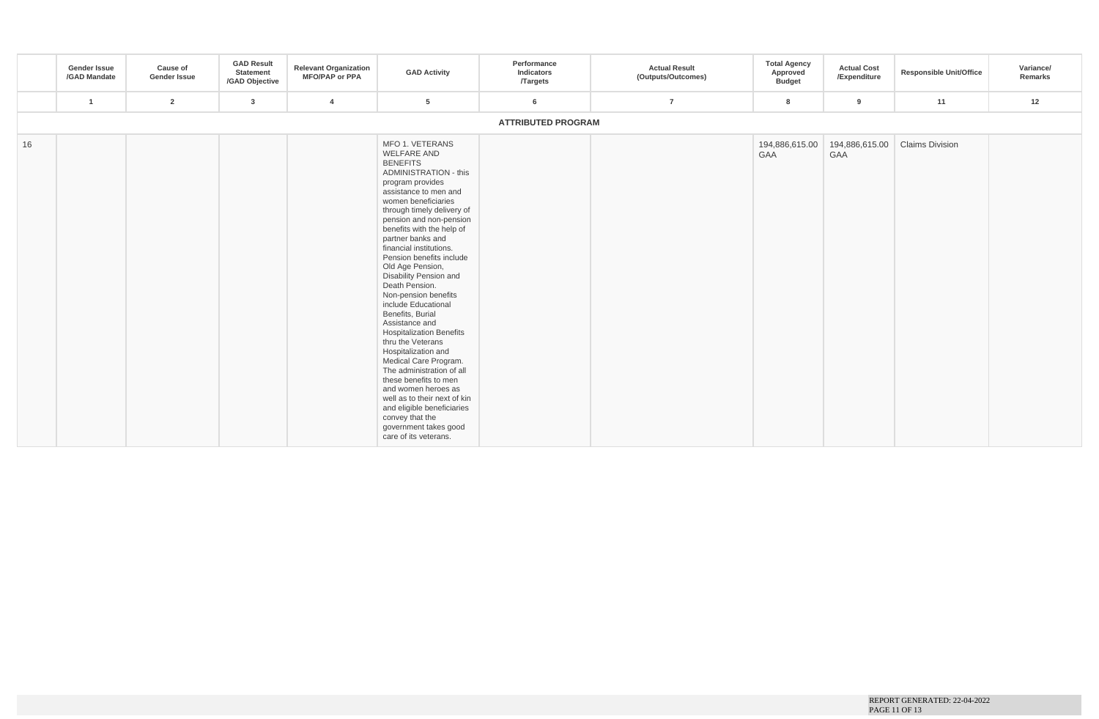|    | <b>Gender Issue</b><br>/GAD Mandate | Cause of<br>Gender Issue | <b>GAD Result</b><br>Statement<br>/GAD Objective | <b>Relevant Organization</b><br><b>MFO/PAP or PPA</b> | <b>GAD Activity</b>                                                                                                                                                                                                                                                                                                                                                                                                                                                                                                                                                                                                                                                                                                                                                                                         | Performance<br>Indicators<br><b>Targets</b> | <b>Actual Result</b><br>(Outputs/Outcomes) | <b>Total Agency</b><br>Approved<br><b>Budget</b> | <b>Actual Cost</b><br>/Expenditure | <b>Responsible Unit/Office</b> | Variance/<br>Remarks |
|----|-------------------------------------|--------------------------|--------------------------------------------------|-------------------------------------------------------|-------------------------------------------------------------------------------------------------------------------------------------------------------------------------------------------------------------------------------------------------------------------------------------------------------------------------------------------------------------------------------------------------------------------------------------------------------------------------------------------------------------------------------------------------------------------------------------------------------------------------------------------------------------------------------------------------------------------------------------------------------------------------------------------------------------|---------------------------------------------|--------------------------------------------|--------------------------------------------------|------------------------------------|--------------------------------|----------------------|
|    | $\mathbf{1}$                        | $\overline{2}$           | 3                                                | $\overline{4}$                                        | 5                                                                                                                                                                                                                                                                                                                                                                                                                                                                                                                                                                                                                                                                                                                                                                                                           | 6                                           | $\overline{7}$                             | 8                                                | 9                                  | 11                             | 12                   |
|    |                                     |                          |                                                  |                                                       |                                                                                                                                                                                                                                                                                                                                                                                                                                                                                                                                                                                                                                                                                                                                                                                                             | <b>ATTRIBUTED PROGRAM</b>                   |                                            |                                                  |                                    |                                |                      |
| 16 |                                     |                          |                                                  |                                                       | MFO 1. VETERANS<br><b>WELFARE AND</b><br><b>BENEFITS</b><br><b>ADMINISTRATION - this</b><br>program provides<br>assistance to men and<br>women beneficiaries<br>through timely delivery of<br>pension and non-pension<br>benefits with the help of<br>partner banks and<br>financial institutions.<br>Pension benefits include<br>Old Age Pension,<br>Disability Pension and<br>Death Pension.<br>Non-pension benefits<br>include Educational<br>Benefits, Burial<br>Assistance and<br><b>Hospitalization Benefits</b><br>thru the Veterans<br>Hospitalization and<br>Medical Care Program.<br>The administration of all<br>these benefits to men<br>and women heroes as<br>well as to their next of kin<br>and eligible beneficiaries<br>convey that the<br>government takes good<br>care of its veterans. |                                             |                                            | 194,886,615.00<br>GAA                            | 194,886,615.00<br>GAA              | <b>Claims Division</b>         |                      |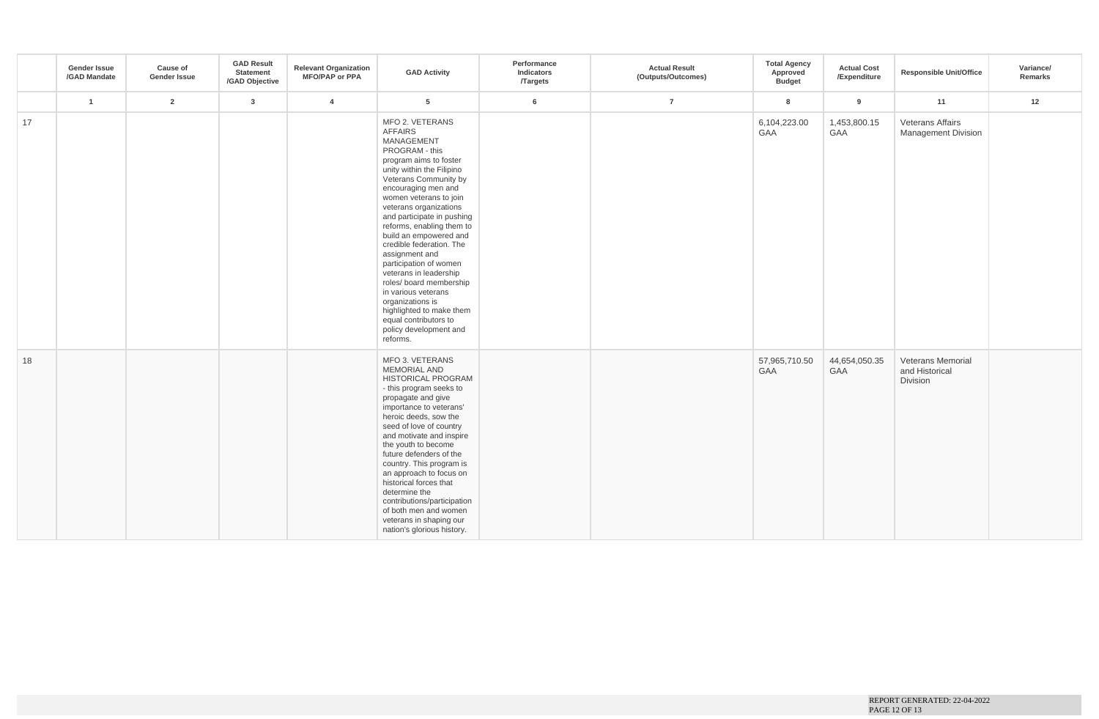|    | <b>Gender Issue</b><br>/GAD Mandate | Cause of<br>Gender Issue | <b>GAD Result</b><br>Statement<br>/GAD Objective | <b>Relevant Organization</b><br><b>MFO/PAP or PPA</b> | <b>GAD Activity</b>                                                                                                                                                                                                                                                                                                                                                                                                                                                                                                                                                                  | Performance<br>Indicators<br>/Targets | <b>Actual Result</b><br>(Outputs/Outcomes) | <b>Total Agency</b><br>Approved<br><b>Budget</b> | <b>Actual Cost</b><br>/Expenditure | <b>Responsible Unit/Office</b>                  | Variance/<br>Remarks |
|----|-------------------------------------|--------------------------|--------------------------------------------------|-------------------------------------------------------|--------------------------------------------------------------------------------------------------------------------------------------------------------------------------------------------------------------------------------------------------------------------------------------------------------------------------------------------------------------------------------------------------------------------------------------------------------------------------------------------------------------------------------------------------------------------------------------|---------------------------------------|--------------------------------------------|--------------------------------------------------|------------------------------------|-------------------------------------------------|----------------------|
|    | $\overline{1}$                      | $\overline{2}$           | $\mathbf{3}$                                     | $\overline{4}$                                        | $5\overline{5}$                                                                                                                                                                                                                                                                                                                                                                                                                                                                                                                                                                      | 6                                     | $\overline{7}$                             | 8                                                | 9                                  | 11                                              | 12                   |
| 17 |                                     |                          |                                                  |                                                       | MFO 2. VETERANS<br><b>AFFAIRS</b><br>MANAGEMENT<br>PROGRAM - this<br>program aims to foster<br>unity within the Filipino<br>Veterans Community by<br>encouraging men and<br>women veterans to join<br>veterans organizations<br>and participate in pushing<br>reforms, enabling them to<br>build an empowered and<br>credible federation. The<br>assignment and<br>participation of women<br>veterans in leadership<br>roles/ board membership<br>in various veterans<br>organizations is<br>highlighted to make them<br>equal contributors to<br>policy development and<br>reforms. |                                       |                                            | 6,104,223.00<br>GAA                              | 1,453,800.15<br>GAA                | Veterans Affairs<br><b>Management Division</b>  |                      |
| 18 |                                     |                          |                                                  |                                                       | MFO 3. VETERANS<br><b>MEMORIAL AND</b><br><b>HISTORICAL PROGRAM</b><br>- this program seeks to<br>propagate and give<br>importance to veterans'<br>heroic deeds, sow the<br>seed of love of country<br>and motivate and inspire<br>the youth to become<br>future defenders of the<br>country. This program is<br>an approach to focus on<br>historical forces that<br>determine the<br>contributions/participation<br>of both men and women<br>veterans in shaping our<br>nation's glorious history.                                                                                 |                                       |                                            | 57,965,710.50<br>GAA                             | 44,654,050.35<br>GAA               | Veterans Memorial<br>and Historical<br>Division |                      |